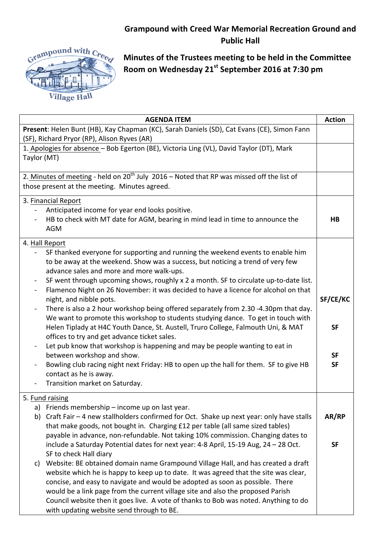## **Grampound with Creed War Memorial Recreation Ground and Public Hall**



**Minutes of the Trustees meeting to be held in the Committee Room on Wednesday 21st September 2016 at 7:30 pm**

| <b>AGENDA ITEM</b>                                                                                     | <b>Action</b>  |
|--------------------------------------------------------------------------------------------------------|----------------|
| Present: Helen Bunt (HB), Kay Chapman (KC), Sarah Daniels (SD), Cat Evans (CE), Simon Fann             |                |
| (SF), Richard Pryor (RP), Alison Ryves (AR)                                                            |                |
| 1. Apologies for absence - Bob Egerton (BE), Victoria Ling (VL), David Taylor (DT), Mark               |                |
| Taylor (MT)                                                                                            |                |
|                                                                                                        |                |
| 2. Minutes of meeting - held on $20^{th}$ July 2016 – Noted that RP was missed off the list of         |                |
| those present at the meeting. Minutes agreed.                                                          |                |
| 3. Financial Report                                                                                    |                |
| Anticipated income for year end looks positive.                                                        |                |
| HB to check with MT date for AGM, bearing in mind lead in time to announce the                         | H <sub>B</sub> |
| <b>AGM</b>                                                                                             |                |
| 4. Hall Report                                                                                         |                |
| SF thanked everyone for supporting and running the weekend events to enable him                        |                |
| to be away at the weekend. Show was a success, but noticing a trend of very few                        |                |
| advance sales and more and more walk-ups.                                                              |                |
| SF went through upcoming shows, roughly x 2 a month. SF to circulate up-to-date list.                  |                |
| Flamenco Night on 26 November: it was decided to have a licence for alcohol on that<br>$\blacksquare$  |                |
| night, and nibble pots.                                                                                | SF/CE/KC       |
| There is also a 2 hour workshop being offered separately from 2.30 -4.30pm that day.<br>$\blacksquare$ |                |
| We want to promote this workshop to students studying dance. To get in touch with                      |                |
| Helen Tiplady at H4C Youth Dance, St. Austell, Truro College, Falmouth Uni, & MAT                      | <b>SF</b>      |
| offices to try and get advance ticket sales.                                                           |                |
| Let pub know that workshop is happening and may be people wanting to eat in<br>$\blacksquare$          |                |
| between workshop and show.                                                                             | <b>SF</b>      |
| Bowling club racing night next Friday: HB to open up the hall for them. SF to give HB                  | <b>SF</b>      |
| contact as he is away.                                                                                 |                |
| Transition market on Saturday.                                                                         |                |
| 5. Fund raising                                                                                        |                |
| a) Friends membership – income up on last year.                                                        |                |
| Craft Fair - 4 new stallholders confirmed for Oct. Shake up next year: only have stalls<br>b)          | AR/RP          |
| that make goods, not bought in. Charging £12 per table (all same sized tables)                         |                |
| payable in advance, non-refundable. Not taking 10% commission. Changing dates to                       |                |
| include a Saturday Potential dates for next year: 4-8 April, 15-19 Aug, 24 - 28 Oct.                   | <b>SF</b>      |
| SF to check Hall diary                                                                                 |                |
| Website: BE obtained domain name Grampound Village Hall, and has created a draft<br>C)                 |                |
| website which he is happy to keep up to date. It was agreed that the site was clear,                   |                |
| concise, and easy to navigate and would be adopted as soon as possible. There                          |                |
| would be a link page from the current village site and also the proposed Parish                        |                |
| Council website then it goes live. A vote of thanks to Bob was noted. Anything to do                   |                |
| with updating website send through to BE.                                                              |                |